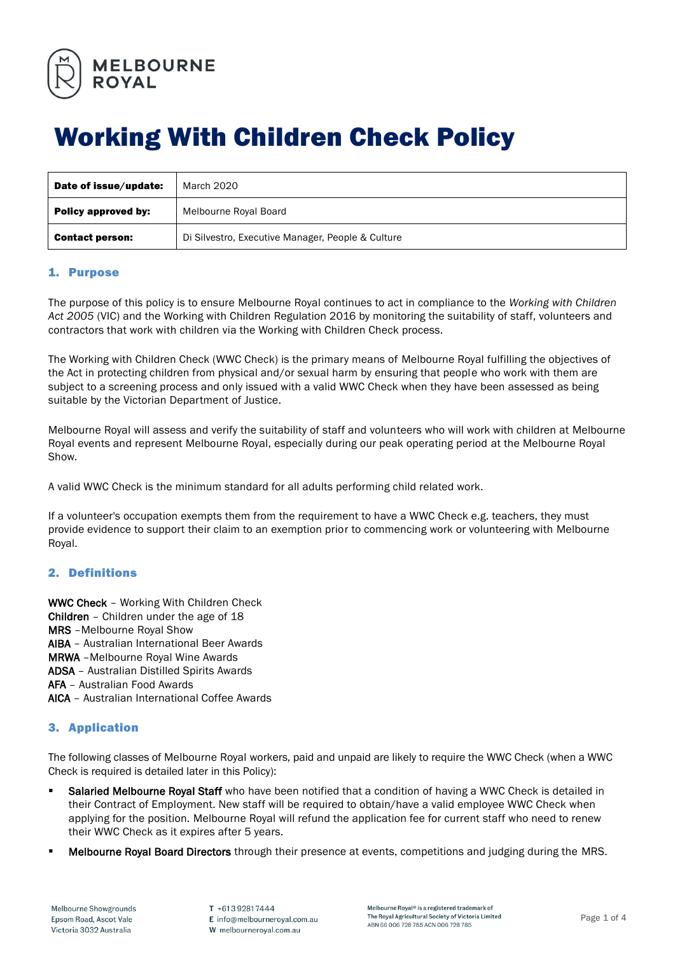

# Working With Children Check Policy

| Date of issue/update:  | March 2020                                        |
|------------------------|---------------------------------------------------|
| Policy approved by:    | Melbourne Royal Board                             |
| <b>Contact person:</b> | Di Silvestro, Executive Manager, People & Culture |

# 1. Purpose

The purpose of this policy is to ensure Melbourne Royal continues to act in compliance to the *Working with Children Act 2005* (VIC) and the Working with Children Regulation 2016 by monitoring the suitability of staff, volunteers and contractors that work with children via the Working with Children Check process.

The Working with Children Check (WWC Check) is the primary means of Melbourne Royal fulfilling the objectives of the Act in protecting children from physical and/or sexual harm by ensuring that people who work with them are subject to a screening process and only issued with a valid WWC Check when they have been assessed as being suitable by the Victorian Department of Justice.

Melbourne Royal will assess and verify the suitability of staff and volunteers who will work with children at Melbourne Royal events and represent Melbourne Royal, especially during our peak operating period at the Melbourne Royal Show.

A valid WWC Check is the minimum standard for all adults performing child related work.

If a volunteer's occupation exempts them from the requirement to have a WWC Check e.g. teachers, they must provide evidence to support their claim to an exemption prior to commencing work or volunteering with Melbourne Royal.

# 2. Definitions

WWC Check – Working With Children Check Children – Children under the age of 18 MRS –Melbourne Royal Show AIBA – Australian International Beer Awards MRWA –Melbourne Royal Wine Awards ADSA – Australian Distilled Spirits Awards AFA – Australian Food Awards AICA – Australian International Coffee Awards

# 3. Application

The following classes of Melbourne Royal workers, paid and unpaid are likely to require the WWC Check (when a WWC Check is required is detailed later in this Policy):

- **E** Salaried Melbourne Royal Staff who have been notified that a condition of having a WWC Check is detailed in their Contract of Employment. New staff will be required to obtain/have a valid employee WWC Check when applying for the position. Melbourne Royal will refund the application fee for current staff who need to renew their WWC Check as it expires after 5 years.
- **Melbourne Royal Board Directors** through their presence at events, competitions and judging during the MRS.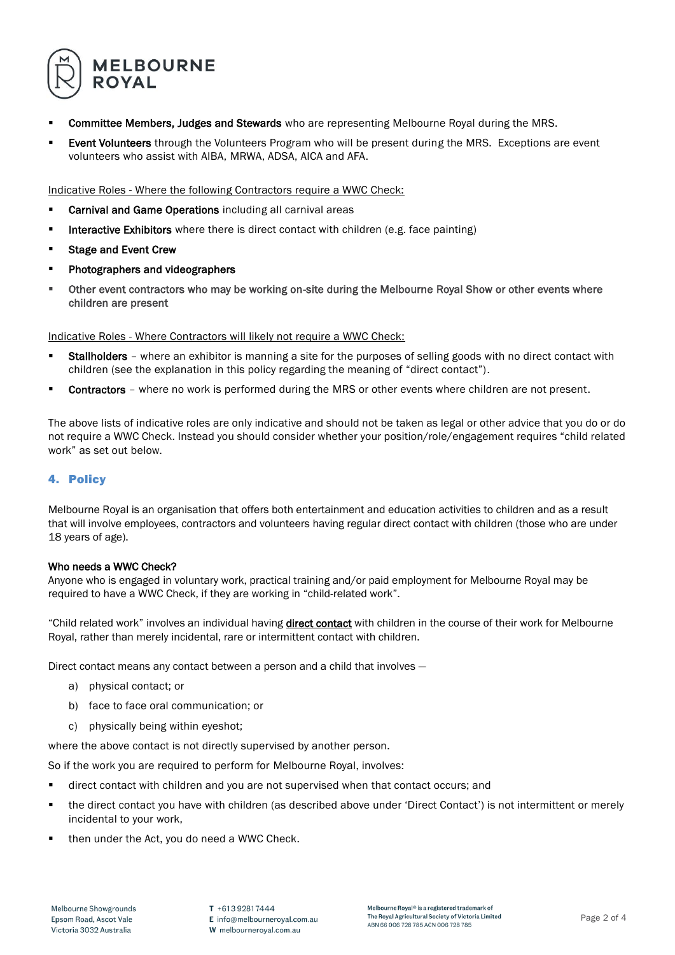

- **Committee Members, Judges and Stewards** who are representing Melbourne Royal during the MRS.
- Event Volunteers through the Volunteers Program who will be present during the MRS. Exceptions are event volunteers who assist with AIBA, MRWA, ADSA, AICA and AFA.

Indicative Roles - Where the following Contractors require a WWC Check:

- Carnival and Game Operations including all carnival areas
- **Interactive Exhibitors** where there is direct contact with children (e.g. face painting)
- Stage and Event Crew
- Photographers and videographers
- Other event contractors who may be working on-site during the Melbourne Royal Show or other events where children are present

Indicative Roles - Where Contractors will likely not require a WWC Check:

- **Stallholders** where an exhibitor is manning a site for the purposes of selling goods with no direct contact with children (see the explanation in this policy regarding the meaning of "direct contact").
- **EXECONTRECTORS** where no work is performed during the MRS or other events where children are not present.

The above lists of indicative roles are only indicative and should not be taken as legal or other advice that you do or do not require a WWC Check. Instead you should consider whether your position/role/engagement requires "child related work" as set out below.

# 4. Policy

Melbourne Royal is an organisation that offers both entertainment and education activities to children and as a result that will involve employees, contractors and volunteers having regular direct contact with children (those who are under 18 years of age).

## Who needs a WWC Check?

Anyone who is engaged in voluntary work, practical training and/or paid employment for Melbourne Royal may be required to have a WWC Check, if they are working in "child-related work".

"Child related work" involves an individual having *direct contact* with children in the course of their work for Melbourne Royal, rather than merely incidental, rare or intermittent contact with children.

Direct contact means any contact between a person and a child that involves —

- a) physical contact; or
- b) face to face oral communication; or
- c) physically being within eyeshot;

where the above contact is not directly supervised by another person.

So if the work you are required to perform for Melbourne Royal, involves:

- direct contact with children and you are not supervised when that contact occurs; and
- the direct contact you have with children (as described above under 'Direct Contact') is not intermittent or merely incidental to your work,
- then under the Act, you do need a WWC Check.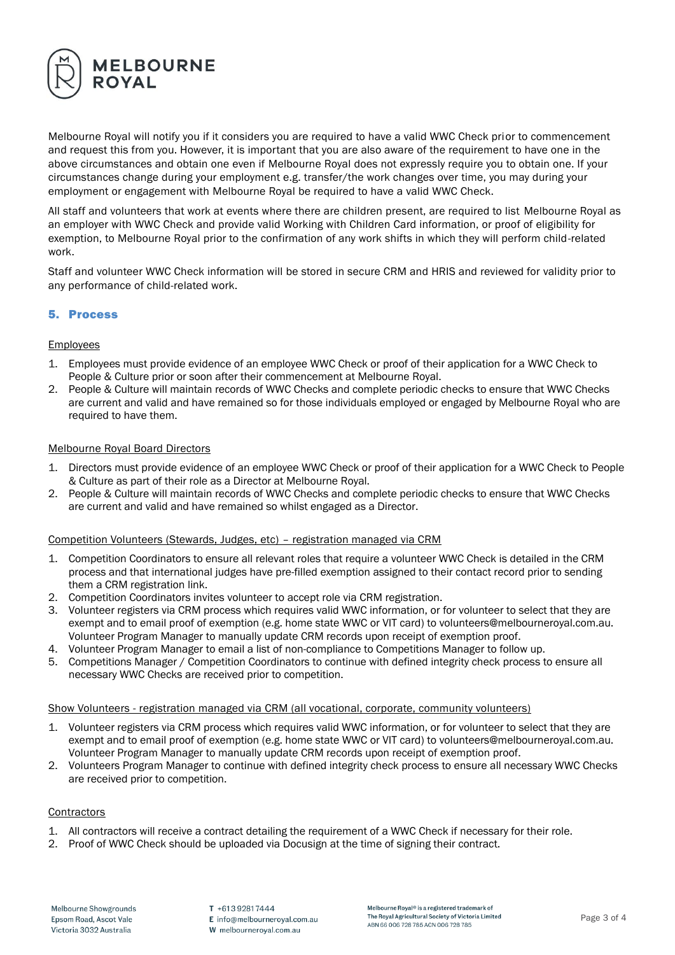

Melbourne Royal will notify you if it considers you are required to have a valid WWC Check prior to commencement and request this from you. However, it is important that you are also aware of the requirement to have one in the above circumstances and obtain one even if Melbourne Royal does not expressly require you to obtain one. If your circumstances change during your employment e.g. transfer/the work changes over time, you may during your employment or engagement with Melbourne Royal be required to have a valid WWC Check.

All staff and volunteers that work at events where there are children present, are required to list Melbourne Royal as an employer with WWC Check and provide valid Working with Children Card information, or proof of eligibility for exemption, to Melbourne Royal prior to the confirmation of any work shifts in which they will perform child-related work.

Staff and volunteer WWC Check information will be stored in secure CRM and HRIS and reviewed for validity prior to any performance of child-related work.

# 5. Process

## **Employees**

- 1. Employees must provide evidence of an employee WWC Check or proof of their application for a WWC Check to People & Culture prior or soon after their commencement at Melbourne Royal.
- 2. People & Culture will maintain records of WWC Checks and complete periodic checks to ensure that WWC Checks are current and valid and have remained so for those individuals employed or engaged by Melbourne Royal who are required to have them.

#### Melbourne Royal Board Directors

- 1. Directors must provide evidence of an employee WWC Check or proof of their application for a WWC Check to People & Culture as part of their role as a Director at Melbourne Royal.
- 2. People & Culture will maintain records of WWC Checks and complete periodic checks to ensure that WWC Checks are current and valid and have remained so whilst engaged as a Director.

#### Competition Volunteers (Stewards, Judges, etc) – registration managed via CRM

- 1. Competition Coordinators to ensure all relevant roles that require a volunteer WWC Check is detailed in the CRM process and that international judges have pre-filled exemption assigned to their contact record prior to sending them a CRM registration link.
- 2. Competition Coordinators invites volunteer to accept role via CRM registration.
- 3. Volunteer registers via CRM process which requires valid WWC information, or for volunteer to select that they are exempt and to email proof of exemption (e.g. home state WWC or VIT card) to volunteers@melbourneroyal.com.au. Volunteer Program Manager to manually update CRM records upon receipt of exemption proof.
- 4. Volunteer Program Manager to email a list of non-compliance to Competitions Manager to follow up.
- 5. Competitions Manager / Competition Coordinators to continue with defined integrity check process to ensure all necessary WWC Checks are received prior to competition.

#### Show Volunteers - registration managed via CRM (all vocational, corporate, community volunteers)

- 1. Volunteer registers via CRM process which requires valid WWC information, or for volunteer to select that they are exempt and to email proof of exemption (e.g. home state WWC or VIT card) to volunteers@melbourneroyal.com.au. Volunteer Program Manager to manually update CRM records upon receipt of exemption proof.
- 2. Volunteers Program Manager to continue with defined integrity check process to ensure all necessary WWC Checks are received prior to competition.

#### **Contractors**

- 1. All contractors will receive a contract detailing the requirement of a WWC Check if necessary for their role.
- 2. Proof of WWC Check should be uploaded via Docusign at the time of signing their contract.

T +61392817444 E info@melbourneroyal.com.au W melbourneroyal.com.au